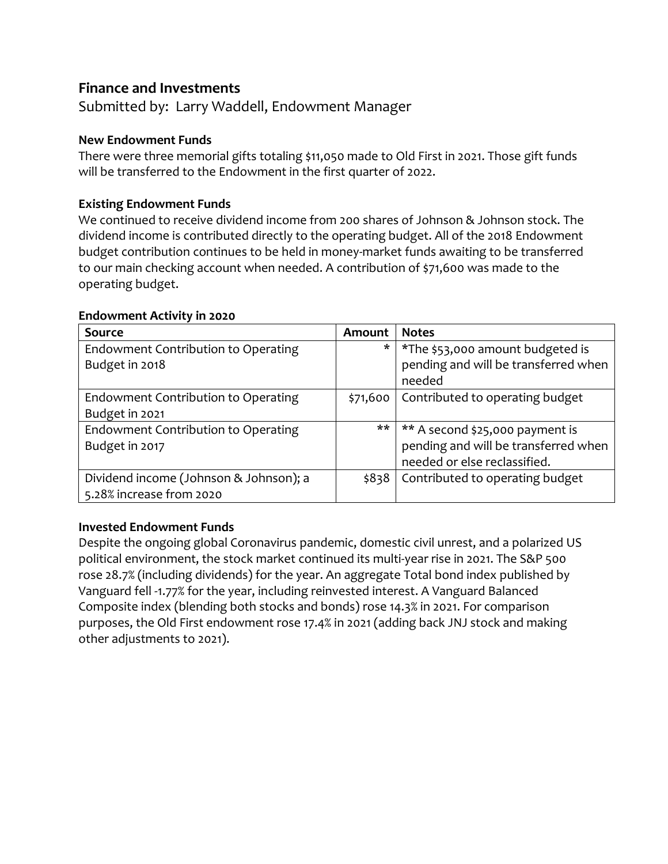# **Finance and Investments**

Submitted by: Larry Waddell, Endowment Manager

## **New Endowment Funds**

There were three memorial gifts totaling \$11,050 made to Old First in 2021. Those gift funds will be transferred to the Endowment in the first quarter of 2022.

# **Existing Endowment Funds**

We continued to receive dividend income from 200 shares of Johnson & Johnson stock. The dividend income is contributed directly to the operating budget. All of the 2018 Endowment budget contribution continues to be held in money-market funds awaiting to be transferred to our main checking account when needed. A contribution of \$71,600 was made to the operating budget.

| <b>Source</b>                          | Amount   | <b>Notes</b>                         |
|----------------------------------------|----------|--------------------------------------|
| Endowment Contribution to Operating    | $\ast$   | *The \$53,000 amount budgeted is     |
| Budget in 2018                         |          | pending and will be transferred when |
|                                        |          | needed                               |
| Endowment Contribution to Operating    | \$71,600 | Contributed to operating budget      |
| Budget in 2021                         |          |                                      |
| Endowment Contribution to Operating    | **       | ** A second \$25,000 payment is      |
| Budget in 2017                         |          | pending and will be transferred when |
|                                        |          | needed or else reclassified.         |
| Dividend income (Johnson & Johnson); a | \$838    | Contributed to operating budget      |
| 5.28% increase from 2020               |          |                                      |

#### **Endowment Activity in 2020**

### **Invested Endowment Funds**

Despite the ongoing global Coronavirus pandemic, domestic civil unrest, and a polarized US political environment, the stock market continued its multi-year rise in 2021. The S&P 500 rose 28.7% (including dividends) for the year. An aggregate Total bond index published by Vanguard fell -1.77% for the year, including reinvested interest. A Vanguard Balanced Composite index (blending both stocks and bonds) rose 14.3% in 2021. For comparison purposes, the Old First endowment rose 17.4% in 2021 (adding back JNJ stock and making other adjustments to 2021).